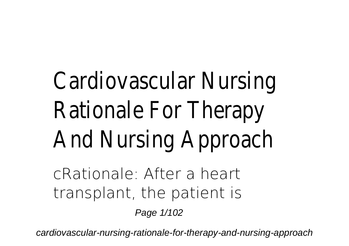## Cardiovascular Nur Rationale For Ther And Nursing Appro

cRationale: After a heart transplant, the patient is

Page 1/102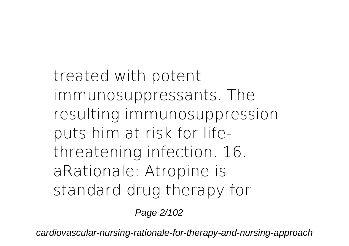treated with potent immunosuppressants. The resulting immunosuppression puts him at risk for lifethreatening infection. 16. aRationale: Atropine is standard drug therapy for

Page 2/102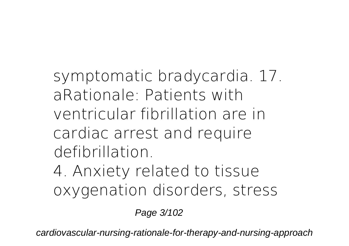symptomatic bradycardia. 17. aRationale: Patients with ventricular fibrillation are in cardiac arrest and require defibrillation.

4. Anxiety related to tissue oxygenation disorders, stress

Page 3/102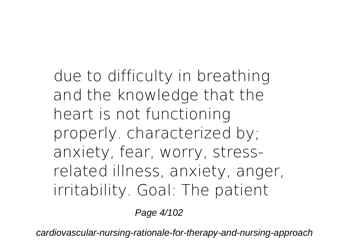due to difficulty in breathing and the knowledge that the heart is not functioning properly. characterized by; anxiety, fear, worry, stressrelated illness, anxiety, anger, irritability. Goal: The patient

Page 4/102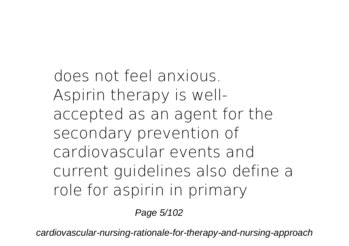does not feel anxious. Aspirin therapy is wellaccepted as an agent for the secondary prevention of cardiovascular events and current guidelines also define a role for aspirin in primary

Page 5/102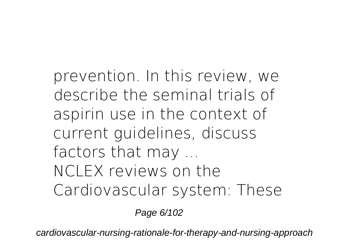prevention. In this review, we describe the seminal trials of aspirin use in the context of current guidelines, discuss factors that may ... NCLEX reviews on the Cardiovascular system: These

Page 6/102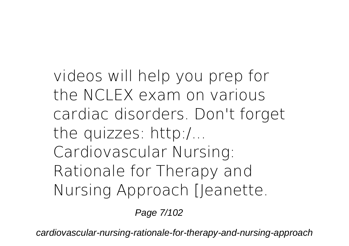videos will help you prep for the NCLEX exam on various cardiac disorders. Don't forget the quizzes: http:/... Cardiovascular Nursing: Rationale for Therapy and Nursing Approach [Jeanette.

Page 7/102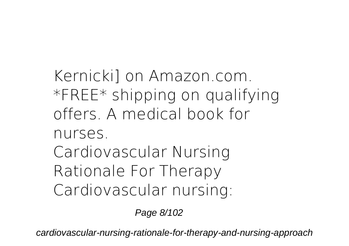Kernicki] on Amazon.com. \*FREE\* shipping on qualifying offers. A medical book for nurses. **Cardiovascular Nursing Rationale For Therapy** Cardiovascular nursing:

Page 8/102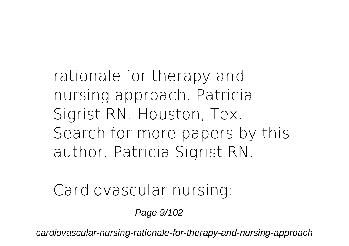rationale for therapy and nursing approach. Patricia Sigrist RN. Houston, Tex. Search for more papers by this author. Patricia Sigrist RN.

**Cardiovascular nursing:**

Page 9/102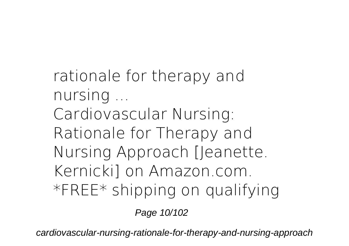**rationale for therapy and nursing ...** Cardiovascular Nursing: Rationale for Therapy and Nursing Approach [Jeanette. Kernicki] on Amazon.com. \*FREE\* shipping on qualifying

Page 10/102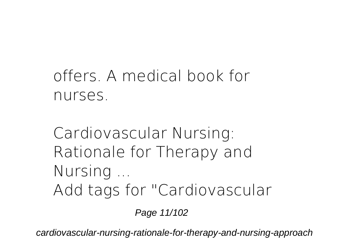## offers. A medical book for nurses.

**Cardiovascular Nursing: Rationale for Therapy and Nursing ...** Add tags for "Cardiovascular

Page 11/102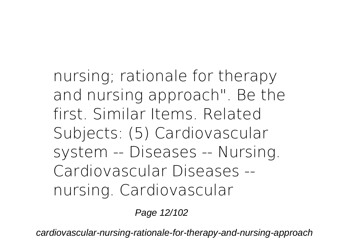nursing; rationale for therapy and nursing approach". Be the first. Similar Items. Related Subjects: (5) Cardiovascular system -- Diseases -- Nursing. Cardiovascular Diseases - nursing. Cardiovascular

Page 12/102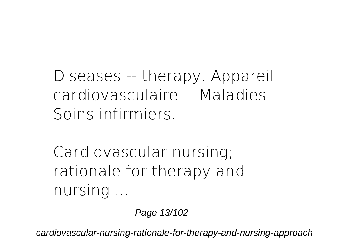Diseases -- therapy. Appareil cardiovasculaire -- Maladies -- Soins infirmiers.

**Cardiovascular nursing; rationale for therapy and nursing ...**

Page 13/102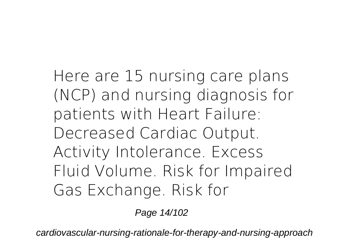Here are 15 nursing care plans (NCP) and nursing diagnosis for patients with Heart Failure: Decreased Cardiac Output. Activity Intolerance. Excess Fluid Volume. Risk for Impaired Gas Exchange. Risk for

Page 14/102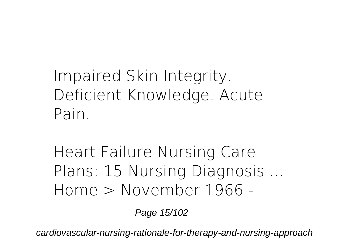Impaired Skin Integrity. Deficient Knowledge. Acute Pain.

**Heart Failure Nursing Care Plans: 15 Nursing Diagnosis ...** Home > November 1966 -

Page 15/102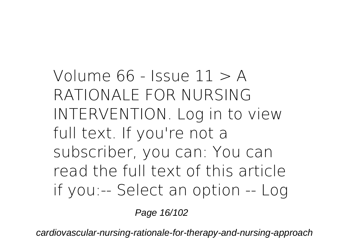Volume  $66$  - Issue  $11 > A$ RATIONALE FOR NURSING INTERVENTION. Log in to view full text. If you're not a subscriber, you can: You can read the full text of this article if you:-- Select an option -- Log

Page 16/102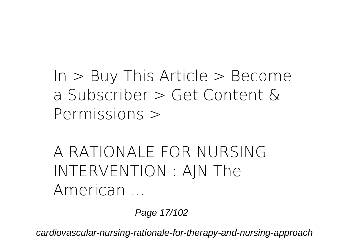$In > B$ uy This Article  $>$  Become a Subscriber > Get Content & Permissions >

**A RATIONALE FOR NURSING INTERVENTION : AJN The American ...**

Page 17/102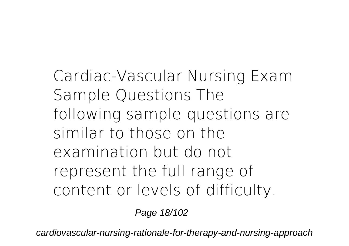Cardiac-Vascular Nursing Exam Sample Questions The following sample questions are similar to those on the examination but do not represent the full range of content or levels of difficulty.

Page 18/102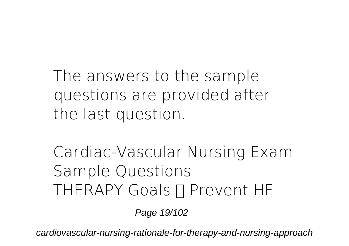The answers to the sample questions are provided after the last question.

**Cardiac-Vascular Nursing Exam Sample Questions** THERAPY Goals  $\Pi$  Prevent HF

Page 19/102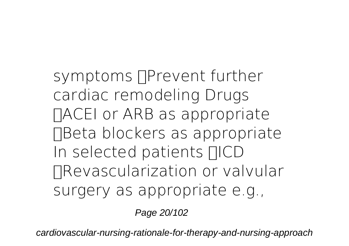symptoms  $\Box$ Prevent further cardiac remodeling Drugs TACEI or ARB as appropriate Beta blockers as appropriate In selected patients **FICD** •Revascularization or valvular surgery as appropriate e.g.,

Page 20/102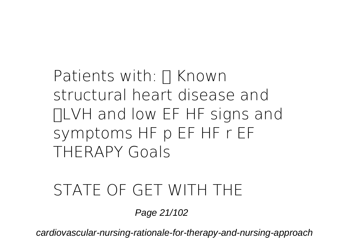Patients with:  $\prod$  Known structural heart disease and •LVH and low EF HF signs and symptoms HF p EF HF r EF THERAPY Goals

## **STATE OF GET WITH THE**

Page 21/102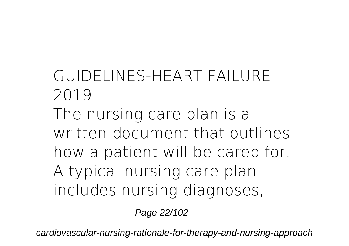**GUIDELINES-HEART FAILURE 2019** The nursing care plan is a written document that outlines how a patient will be cared for. A typical nursing care plan includes nursing diagnoses,

Page 22/102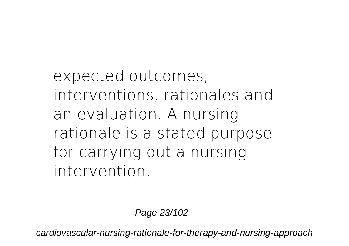expected outcomes, interventions, rationales and an evaluation. A nursing rationale is a stated purpose for carrying out a nursing intervention.

Page 23/102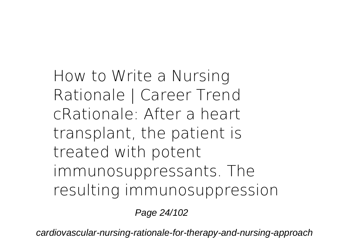**How to Write a Nursing Rationale | Career Trend** cRationale: After a heart transplant, the patient is treated with potent immunosuppressants. The resulting immunosuppression

Page 24/102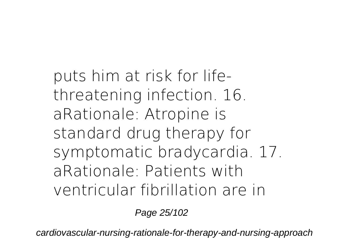puts him at risk for lifethreatening infection. 16. aRationale: Atropine is standard drug therapy for symptomatic bradycardia. 17. aRationale: Patients with ventricular fibrillation are in

Page 25/102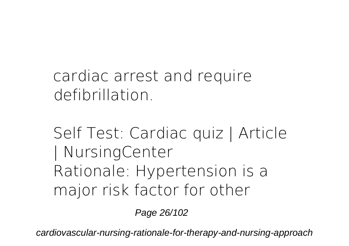cardiac arrest and require defibrillation.

**Self Test: Cardiac quiz | Article | NursingCenter** Rationale: Hypertension is a major risk factor for other

Page 26/102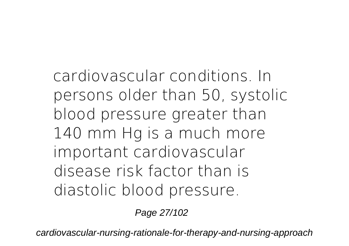cardiovascular conditions. In persons older than 50, systolic blood pressure greater than 140 mm Hg is a much more important cardiovascular disease risk factor than is diastolic blood pressure.

Page 27/102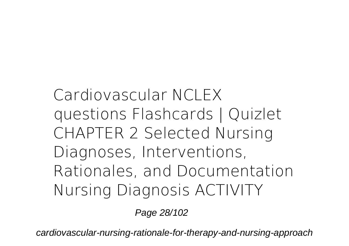**Cardiovascular NCLEX questions Flashcards | Quizlet** CHAPTER 2 Selected Nursing Diagnoses, Interventions, Rationales, and Documentation Nursing Diagnosis ACTIVITY

Page 28/102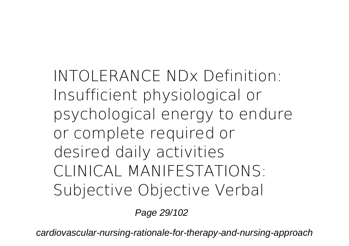INTOLERANCE NDx Definition: Insufficient physiological or psychological energy to endure or complete required or desired daily activities CLINICAL MANIFESTATIONS: Subjective Objective Verbal

Page 29/102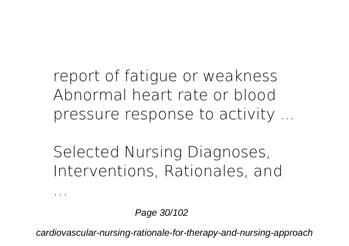report of fatigue or weakness Abnormal heart rate or blood pressure response to activity ...

**Selected Nursing Diagnoses, Interventions, Rationales, and**

Page 30/102

**...**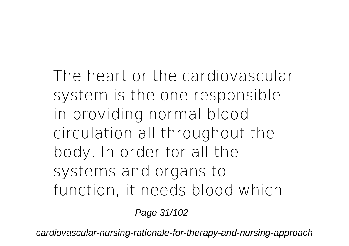The heart or the cardiovascular system is the one responsible in providing normal blood circulation all throughout the body. In order for all the systems and organs to function, it needs blood which

Page 31/102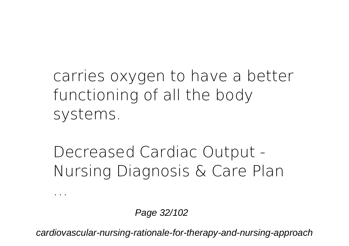carries oxygen to have a better functioning of all the body systems.

**Decreased Cardiac Output - Nursing Diagnosis & Care Plan**

Page 32/102

**...**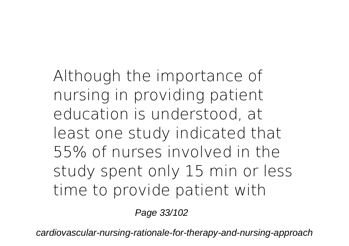Although the importance of nursing in providing patient education is understood, at least one study indicated that 55% of nurses involved in the study spent only 15 min or less time to provide patient with

Page 33/102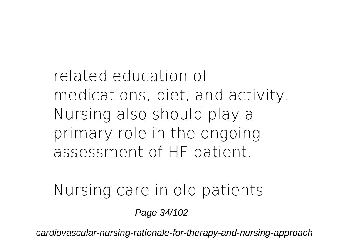related education of medications, diet, and activity. Nursing also should play a primary role in the ongoing assessment of HF patient.

**Nursing care in old patients**

Page 34/102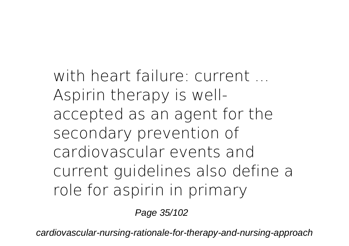**with heart failure: current ...** Aspirin therapy is wellaccepted as an agent for the secondary prevention of cardiovascular events and current guidelines also define a role for aspirin in primary

Page 35/102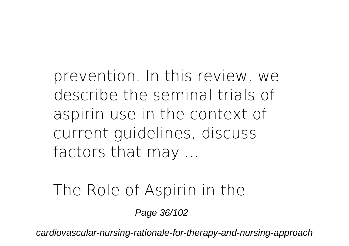prevention. In this review, we describe the seminal trials of aspirin use in the context of current guidelines, discuss factors that may ...

**The Role of Aspirin in the**

Page 36/102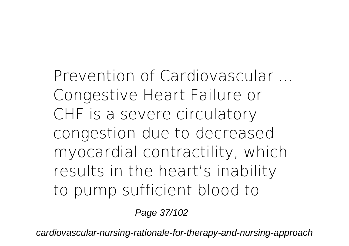**Prevention of Cardiovascular ...** Congestive Heart Failure or CHF is a severe circulatory congestion due to decreased myocardial contractility, which results in the heart's inability to pump sufficient blood to

Page 37/102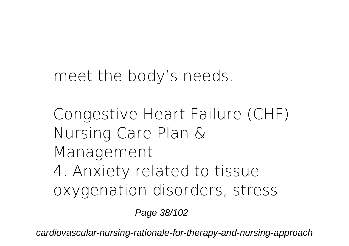meet the body's needs.

**Congestive Heart Failure (CHF) Nursing Care Plan & Management** 4. Anxiety related to tissue oxygenation disorders, stress

Page 38/102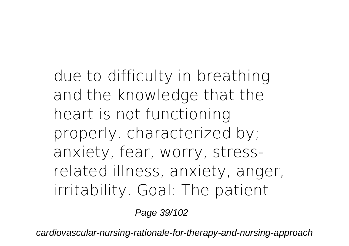due to difficulty in breathing and the knowledge that the heart is not functioning properly. characterized by; anxiety, fear, worry, stressrelated illness, anxiety, anger, irritability. Goal: The patient

Page 39/102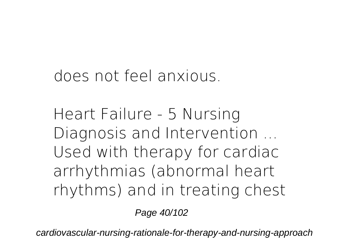does not feel anxious.

**Heart Failure - 5 Nursing Diagnosis and Intervention ...** Used with therapy for cardiac arrhythmias (abnormal heart rhythms) and in treating chest

Page 40/102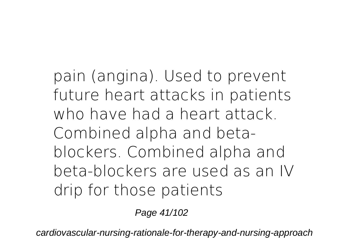pain (angina). Used to prevent future heart attacks in patients who have had a heart attack. Combined alpha and betablockers. Combined alpha and beta-blockers are used as an IV drip for those patients

Page 41/102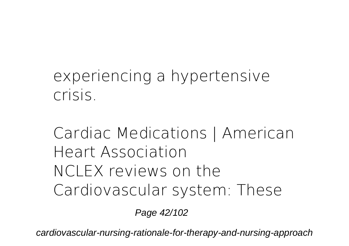## experiencing a hypertensive crisis.

# **Cardiac Medications | American Heart Association** NCLEX reviews on the Cardiovascular system: These

Page 42/102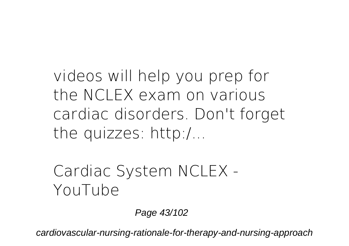videos will help you prep for the NCLEX exam on various cardiac disorders. Don't forget the quizzes: http:/...

**Cardiac System NCLEX - YouTube**

Page 43/102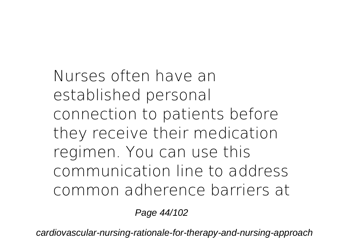Nurses often have an established personal connection to patients before they receive their medication regimen. You can use this communication line to address common adherence barriers at

Page 44/102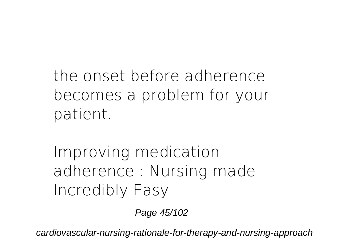the onset before adherence becomes a problem for your patient.

**Improving medication adherence : Nursing made Incredibly Easy**

Page 45/102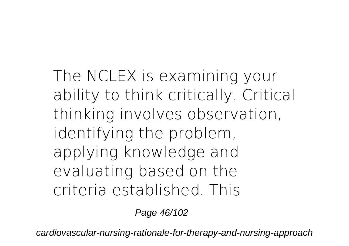The NCLEX is examining your ability to think critically. Critical thinking involves observation, identifying the problem, applying knowledge and evaluating based on the criteria established. This

Page 46/102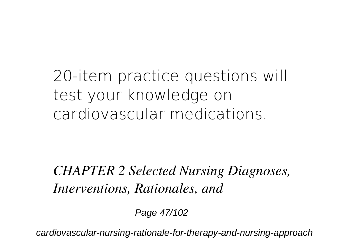20-item practice questions will test your knowledge on cardiovascular medications.

### *CHAPTER 2 Selected Nursing Diagnoses, Interventions, Rationales, and*

Page 47/102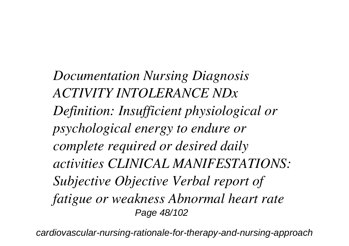*Documentation Nursing Diagnosis ACTIVITY INTOLERANCE NDx Definition: Insufficient physiological or psychological energy to endure or complete required or desired daily activities CLINICAL MANIFESTATIONS: Subjective Objective Verbal report of fatigue or weakness Abnormal heart rate* Page 48/102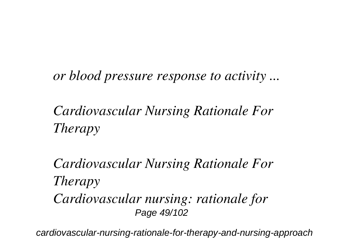*or blood pressure response to activity ...*

*Cardiovascular Nursing Rationale For Therapy*

*Cardiovascular Nursing Rationale For Therapy Cardiovascular nursing: rationale for* Page 49/102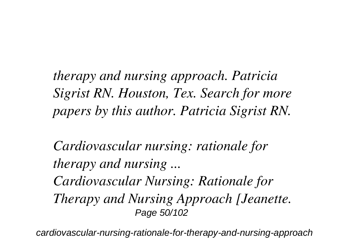*therapy and nursing approach. Patricia Sigrist RN. Houston, Tex. Search for more papers by this author. Patricia Sigrist RN.*

*Cardiovascular nursing: rationale for therapy and nursing ... Cardiovascular Nursing: Rationale for Therapy and Nursing Approach [Jeanette.* Page 50/102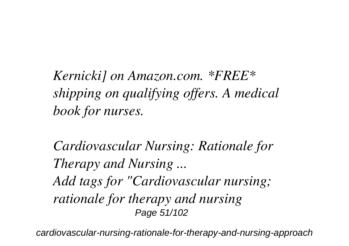*Kernicki] on Amazon.com. \*FREE\* shipping on qualifying offers. A medical book for nurses.*

*Cardiovascular Nursing: Rationale for Therapy and Nursing ... Add tags for "Cardiovascular nursing; rationale for therapy and nursing* Page 51/102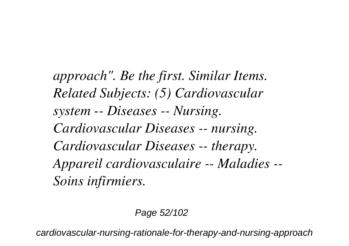*approach". Be the first. Similar Items. Related Subjects: (5) Cardiovascular system -- Diseases -- Nursing. Cardiovascular Diseases -- nursing. Cardiovascular Diseases -- therapy. Appareil cardiovasculaire -- Maladies -- Soins infirmiers.*

#### Page 52/102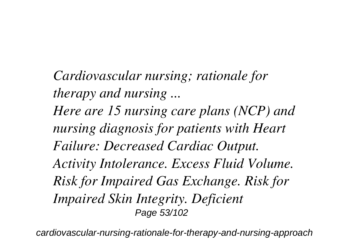*Cardiovascular nursing; rationale for therapy and nursing ... Here are 15 nursing care plans (NCP) and nursing diagnosis for patients with Heart Failure: Decreased Cardiac Output. Activity Intolerance. Excess Fluid Volume. Risk for Impaired Gas Exchange. Risk for Impaired Skin Integrity. Deficient* Page 53/102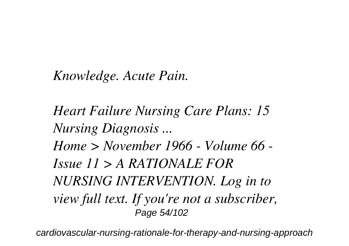### *Knowledge. Acute Pain.*

*Heart Failure Nursing Care Plans: 15 Nursing Diagnosis ... Home > November 1966 - Volume 66 - Issue 11 > A RATIONALE FOR NURSING INTERVENTION. Log in to view full text. If you're not a subscriber,* Page 54/102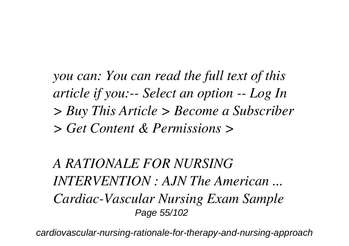*you can: You can read the full text of this article if you:-- Select an option -- Log In > Buy This Article > Become a Subscriber > Get Content & Permissions >*

*A RATIONALE FOR NURSING INTERVENTION : AJN The American ... Cardiac-Vascular Nursing Exam Sample* Page 55/102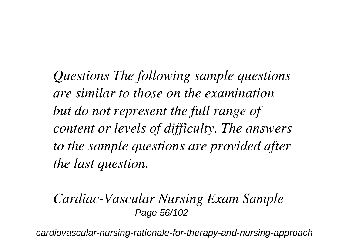*Questions The following sample questions are similar to those on the examination but do not represent the full range of content or levels of difficulty. The answers to the sample questions are provided after the last question.*

### *Cardiac-Vascular Nursing Exam Sample* Page 56/102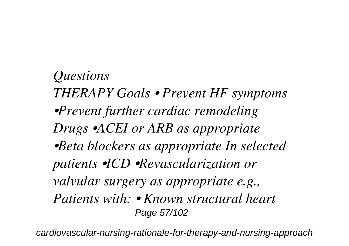*Questions THERAPY Goals • Prevent HF symptoms •Prevent further cardiac remodeling Drugs •ACEI or ARB as appropriate •Beta blockers as appropriate In selected patients •ICD •Revascularization or valvular surgery as appropriate e.g., Patients with: • Known structural heart* Page 57/102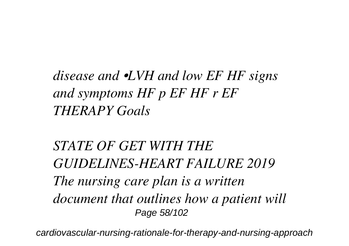*disease and •LVH and low EF HF signs and symptoms HF p EF HF r EF THERAPY Goals*

*STATE OF GET WITH THE GUIDELINES-HEART FAILURE 2019 The nursing care plan is a written document that outlines how a patient will* Page 58/102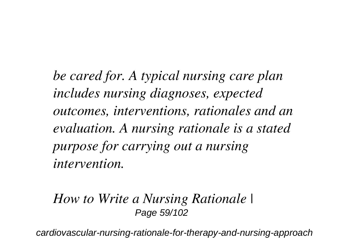*be cared for. A typical nursing care plan includes nursing diagnoses, expected outcomes, interventions, rationales and an evaluation. A nursing rationale is a stated purpose for carrying out a nursing intervention.*

#### *How to Write a Nursing Rationale |* Page 59/102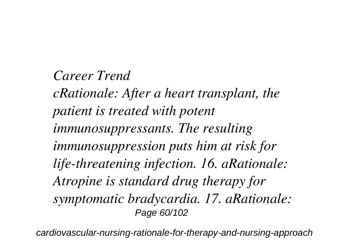### *Career Trend*

*cRationale: After a heart transplant, the patient is treated with potent immunosuppressants. The resulting immunosuppression puts him at risk for life-threatening infection. 16. aRationale: Atropine is standard drug therapy for symptomatic bradycardia. 17. aRationale:* Page 60/102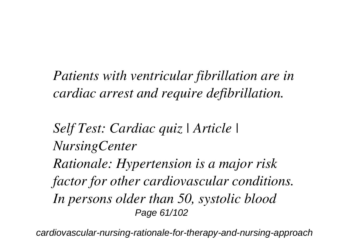*Patients with ventricular fibrillation are in cardiac arrest and require defibrillation.*

*Self Test: Cardiac quiz | Article | NursingCenter Rationale: Hypertension is a major risk factor for other cardiovascular conditions. In persons older than 50, systolic blood* Page 61/102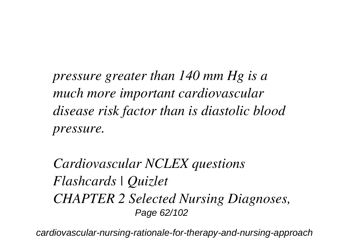*pressure greater than 140 mm Hg is a much more important cardiovascular disease risk factor than is diastolic blood pressure.*

*Cardiovascular NCLEX questions Flashcards | Quizlet CHAPTER 2 Selected Nursing Diagnoses,* Page 62/102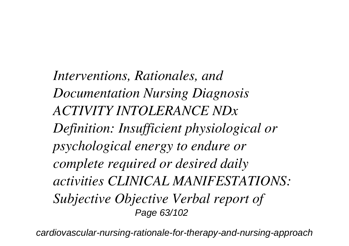*Interventions, Rationales, and Documentation Nursing Diagnosis ACTIVITY INTOLERANCE NDx Definition: Insufficient physiological or psychological energy to endure or complete required or desired daily activities CLINICAL MANIFESTATIONS: Subjective Objective Verbal report of* Page 63/102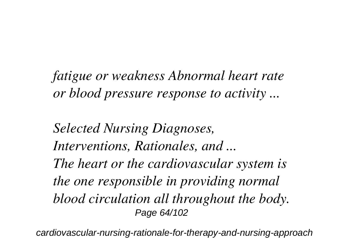*fatigue or weakness Abnormal heart rate or blood pressure response to activity ...*

*Selected Nursing Diagnoses, Interventions, Rationales, and ... The heart or the cardiovascular system is the one responsible in providing normal blood circulation all throughout the body.* Page 64/102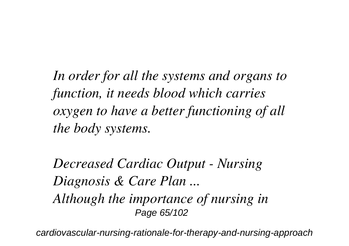*In order for all the systems and organs to function, it needs blood which carries oxygen to have a better functioning of all the body systems.*

*Decreased Cardiac Output - Nursing Diagnosis & Care Plan ... Although the importance of nursing in* Page 65/102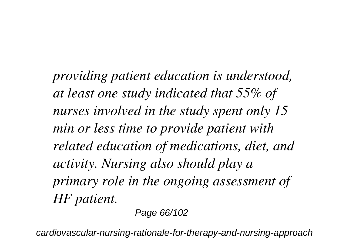*providing patient education is understood, at least one study indicated that 55% of nurses involved in the study spent only 15 min or less time to provide patient with related education of medications, diet, and activity. Nursing also should play a primary role in the ongoing assessment of HF patient.*

Page 66/102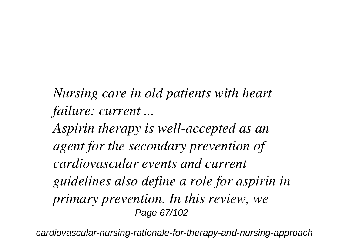*Nursing care in old patients with heart failure: current ...*

*Aspirin therapy is well-accepted as an agent for the secondary prevention of cardiovascular events and current guidelines also define a role for aspirin in primary prevention. In this review, we* Page 67/102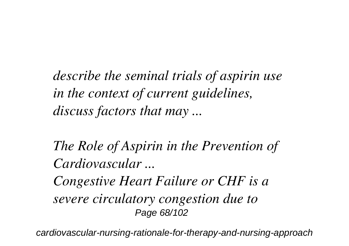*describe the seminal trials of aspirin use in the context of current guidelines, discuss factors that may ...*

*The Role of Aspirin in the Prevention of Cardiovascular ...*

*Congestive Heart Failure or CHF is a severe circulatory congestion due to* Page 68/102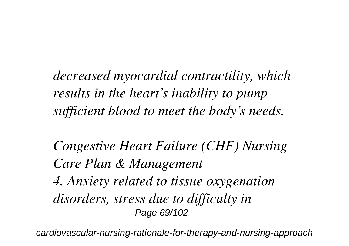*decreased myocardial contractility, which results in the heart's inability to pump sufficient blood to meet the body's needs.*

*Congestive Heart Failure (CHF) Nursing Care Plan & Management 4. Anxiety related to tissue oxygenation disorders, stress due to difficulty in* Page 69/102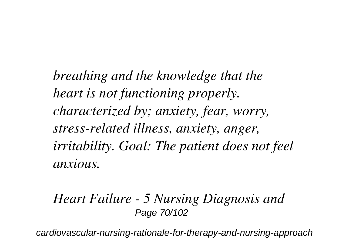*breathing and the knowledge that the heart is not functioning properly. characterized by; anxiety, fear, worry, stress-related illness, anxiety, anger, irritability. Goal: The patient does not feel anxious.*

### *Heart Failure - 5 Nursing Diagnosis and* Page 70/102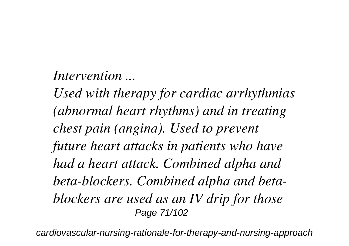### *Intervention ...*

*Used with therapy for cardiac arrhythmias (abnormal heart rhythms) and in treating chest pain (angina). Used to prevent future heart attacks in patients who have had a heart attack. Combined alpha and beta-blockers. Combined alpha and betablockers are used as an IV drip for those* Page 71/102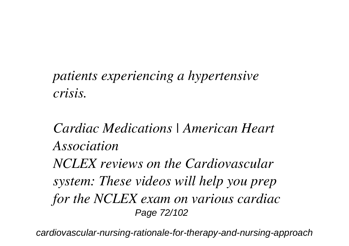### *patients experiencing a hypertensive crisis.*

## *Cardiac Medications | American Heart Association NCLEX reviews on the Cardiovascular system: These videos will help you prep for the NCLEX exam on various cardiac* Page 72/102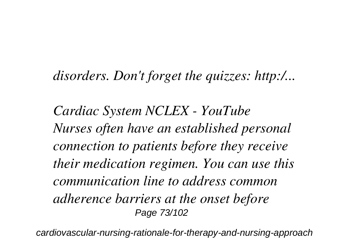#### *disorders. Don't forget the quizzes: http:/...*

*Cardiac System NCLEX - YouTube Nurses often have an established personal connection to patients before they receive their medication regimen. You can use this communication line to address common adherence barriers at the onset before* Page 73/102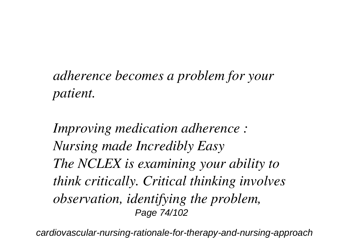#### *adherence becomes a problem for your patient.*

*Improving medication adherence : Nursing made Incredibly Easy The NCLEX is examining your ability to think critically. Critical thinking involves observation, identifying the problem,* Page 74/102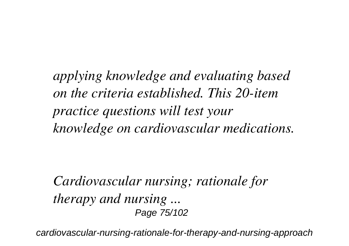*applying knowledge and evaluating based on the criteria established. This 20-item practice questions will test your knowledge on cardiovascular medications.*

*Cardiovascular nursing; rationale for therapy and nursing ...* Page 75/102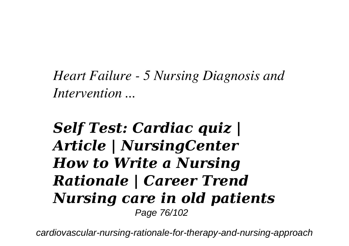*Heart Failure - 5 Nursing Diagnosis and Intervention ...*

#### *Self Test: Cardiac quiz | Article | NursingCenter How to Write a Nursing Rationale | Career Trend Nursing care in old patients* Page 76/102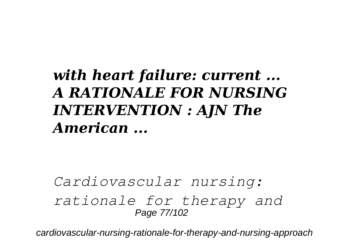#### *with heart failure: current ... A RATIONALE FOR NURSING INTERVENTION : AJN The American ...*

*Cardiovascular nursing: rationale for therapy and* Page 77/102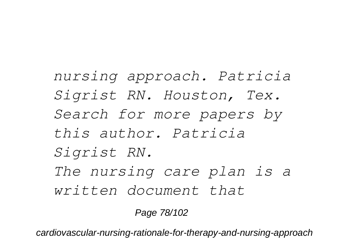*nursing approach. Patricia Sigrist RN. Houston, Tex. Search for more papers by this author. Patricia Sigrist RN. The nursing care plan is a written document that*

Page 78/102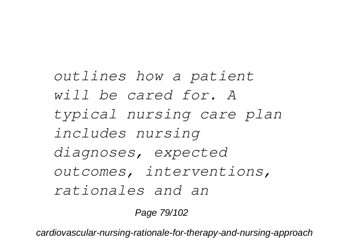*outlines how a patient will be cared for. A typical nursing care plan includes nursing diagnoses, expected outcomes, interventions, rationales and an*

Page 79/102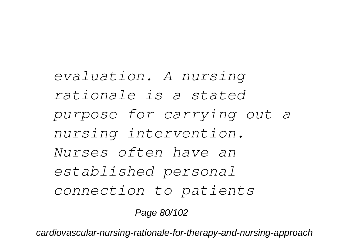*evaluation. A nursing rationale is a stated purpose for carrying out a nursing intervention. Nurses often have an established personal connection to patients*

Page 80/102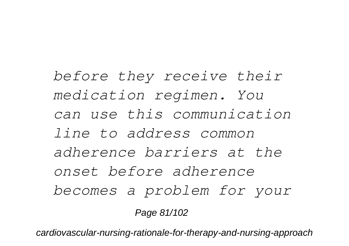*before they receive their medication regimen. You can use this communication line to address common adherence barriers at the onset before adherence becomes a problem for your* Page 81/102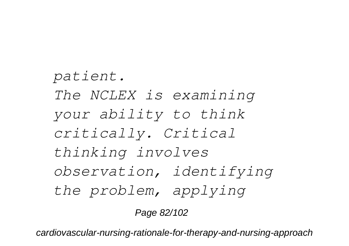*patient. The NCLEX is examining your ability to think critically. Critical thinking involves observation, identifying the problem, applying*

Page 82/102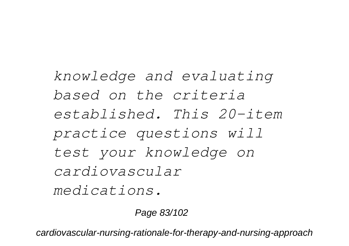*knowledge and evaluating based on the criteria established. This 20-item practice questions will test your knowledge on cardiovascular medications.*

Page 83/102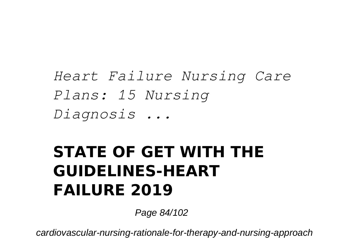*Heart Failure Nursing Care Plans: 15 Nursing Diagnosis ...*

#### **STATE OF GET WITH THE GUIDELINES-HEART FAILURE 2019**

Page 84/102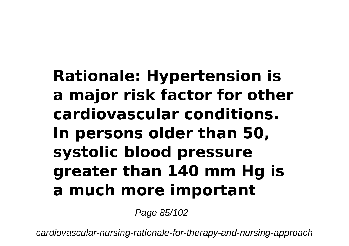## **Rationale: Hypertension is a major risk factor for other cardiovascular conditions. In persons older than 50, systolic blood pressure greater than 140 mm Hg is a much more important**

Page 85/102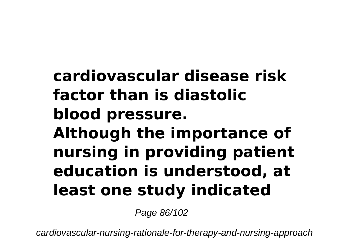## **cardiovascular disease risk factor than is diastolic blood pressure. Although the importance of nursing in providing patient education is understood, at least one study indicated**

Page 86/102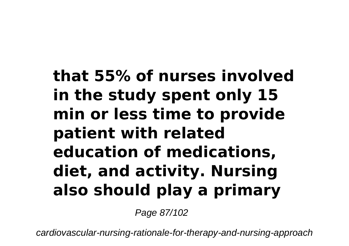## **that 55% of nurses involved in the study spent only 15 min or less time to provide patient with related education of medications, diet, and activity. Nursing also should play a primary**

Page 87/102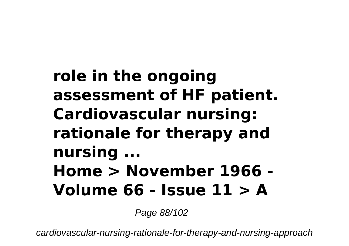## **role in the ongoing assessment of HF patient. Cardiovascular nursing: rationale for therapy and nursing ... Home > November 1966 - Volume 66 - Issue 11 > A**

Page 88/102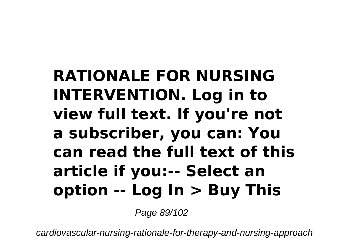### **RATIONALE FOR NURSING INTERVENTION. Log in to view full text. If you're not a subscriber, you can: You can read the full text of this article if you:-- Select an option -- Log In > Buy This**

Page 89/102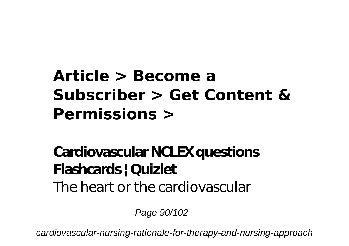### **Article > Become a Subscriber > Get Content & Permissions >**

#### **Cardiovascular NCLEX questions Flashcards | Quizlet** The heart or the cardiovascular

Page 90/102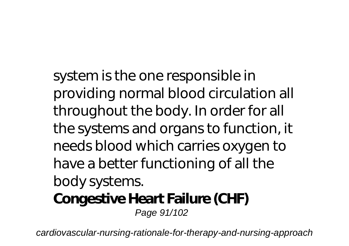system is the one responsible in providing normal blood circulation all throughout the body. In order for all the systems and organs to function, it needs blood which carries oxygen to have a better functioning of all the body systems. **Congestive Heart Failure (CHF)**

Page 91/102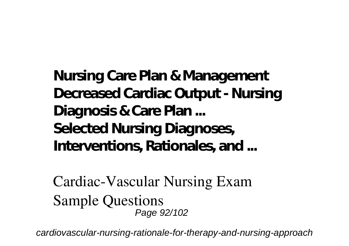**Nursing Care Plan & Management Decreased Cardiac Output - Nursing Diagnosis & Care Plan ... Selected Nursing Diagnoses, Interventions, Rationales, and ...**

**Cardiac-Vascular Nursing Exam Sample Questions** Page 92/102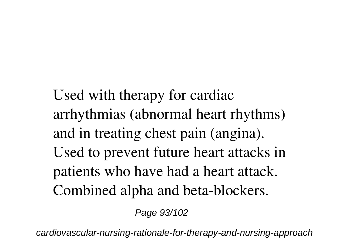Used with therapy for cardiac arrhythmias (abnormal heart rhythms) and in treating chest pain (angina). Used to prevent future heart attacks in patients who have had a heart attack. Combined alpha and beta-blockers.

Page 93/102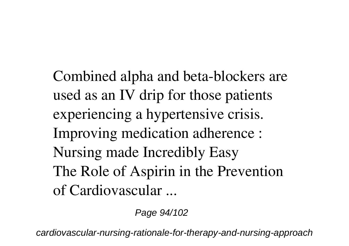Combined alpha and beta-blockers are used as an IV drip for those patients experiencing a hypertensive crisis. **Improving medication adherence : Nursing made Incredibly Easy The Role of Aspirin in the Prevention of Cardiovascular ...**

Page 94/102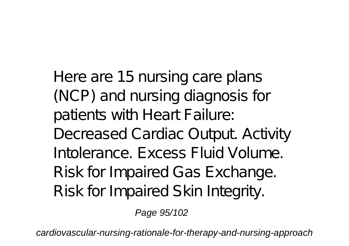Here are 15 nursing care plans (NCP) and nursing diagnosis for patients with Heart Failure: Decreased Cardiac Output. Activity Intolerance. Excess Fluid Volume. Risk for Impaired Gas Exchange. Risk for Impaired Skin Integrity.

Page 95/102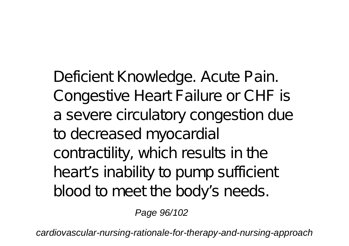Deficient Knowledge. Acute Pain. Congestive Heart Failure or CHF is a severe circulatory congestion due to decreased myocardial contractility, which results in the heart's inability to pump sufficient blood to meet the body's needs.

Page 96/102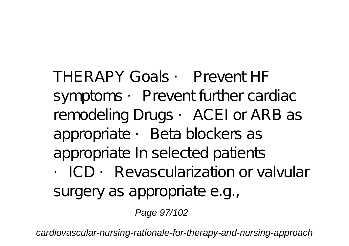cardiovascular-nursing-rationale-for-therapy-and-nursing-approach

Page 97/102

surgery as appropriate e.g.,

THERAPY Goals • Prevent HF symptoms • Prevent further cardiac remodeling Drugs • ACEI or ARB as appropriate •Beta blockers as appropriate In selected patients • ICD • Revascularization or valvular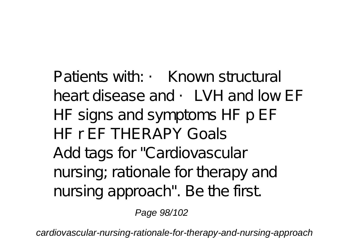Patients with: • Known structural heart disease and • LVH and low FF HF signs and symptoms HF p EF HF r EF THERAPY Goals Add tags for "Cardiovascular nursing; rationale for therapy and nursing approach". Be the first.

Page 98/102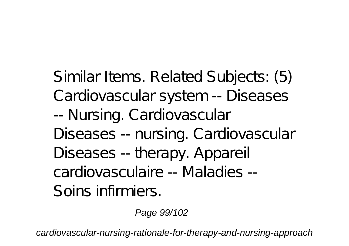Similar Items. Related Subjects: (5) Cardiovascular system -- Diseases -- Nursing. Cardiovascular Diseases -- nursing. Cardiovascular Diseases -- therapy. Appareil cardiovasculaire -- Maladies -- Soins infirmiers.

Page 99/102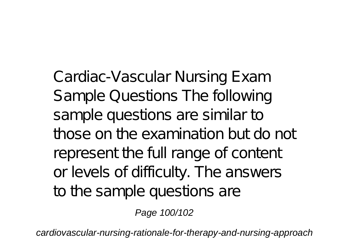Cardiac-Vascular Nursing Exam Sample Questions The following sample questions are similar to those on the examination but do not represent the full range of content or levels of difficulty. The answers to the sample questions are

Page 100/102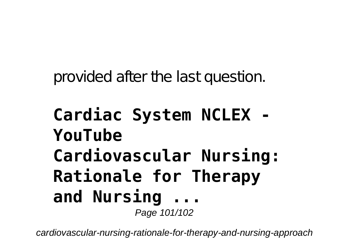provided after the last question.

#### **Cardiac System NCLEX - YouTube Cardiovascular Nursing: Rationale for Therapy and Nursing ...** Page 101/102